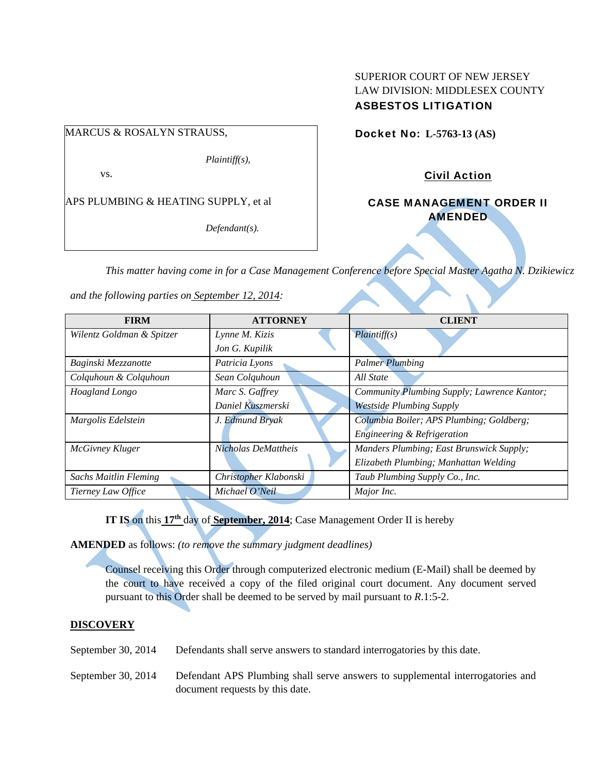# SUPERIOR COURT OF NEW JERSEY LAW DIVISION: MIDDLESEX COUNTY ASBESTOS LITIGATION

# MARCUS & ROSALYN STRAUSS,

*Plaintiff(s),* 

vs.

APS PLUMBING & HEATING SUPPLY, et al

*Defendant(s).* 

Docket No: **L-5763-13 (AS)** 

Civil Action

CASE MANAGEMENT ORDER II **AMENDED** 

*This matter having come in for a Case Management Conference before Special Master Agatha N. Dzikiewicz* 

*and the following parties on September 12, 2014:* 

| <b>FIRM</b>                  | <b>ATTORNEY</b>       | <b>CLIENT</b>                               |
|------------------------------|-----------------------|---------------------------------------------|
|                              |                       |                                             |
| Wilentz Goldman & Spitzer    | Lynne M. Kizis        | Plaintiff(s)                                |
|                              | Jon G. Kupilik        |                                             |
| Baginski Mezzanotte          | Patricia Lyons        | <b>Palmer Plumbing</b>                      |
| Colquhoun & Colquhoun        | Sean Colquhoun        | All State                                   |
| Hoagland Longo               | Marc S. Gaffrey       | Community Plumbing Supply; Lawrence Kantor; |
|                              | Daniel Kuszmerski     | <b>Westside Plumbing Supply</b>             |
| Margolis Edelstein           | J. Edmund Bryak       | Columbia Boiler; APS Plumbing; Goldberg;    |
|                              |                       | Engineering & Refrigeration                 |
| McGivney Kluger              | Nicholas DeMattheis   | Manders Plumbing; East Brunswick Supply;    |
|                              |                       | Elizabeth Plumbing; Manhattan Welding       |
| <b>Sachs Maitlin Fleming</b> | Christopher Klabonski | Taub Plumbing Supply Co., Inc.              |
| Tierney Law Office           | Michael O'Neil        | Major Inc.                                  |

**IT IS** on this  $17<sup>th</sup>$  day of **September, 2014**; Case Management Order II is hereby

**AMENDED** as follows: *(to remove the summary judgment deadlines)* 

Counsel receiving this Order through computerized electronic medium (E-Mail) shall be deemed by the court to have received a copy of the filed original court document. Any document served pursuant to this Order shall be deemed to be served by mail pursuant to *R*.1:5-2.

## **DISCOVERY**

September 30, 2014 Defendants shall serve answers to standard interrogatories by this date.

September 30, 2014 Defendant APS Plumbing shall serve answers to supplemental interrogatories and document requests by this date.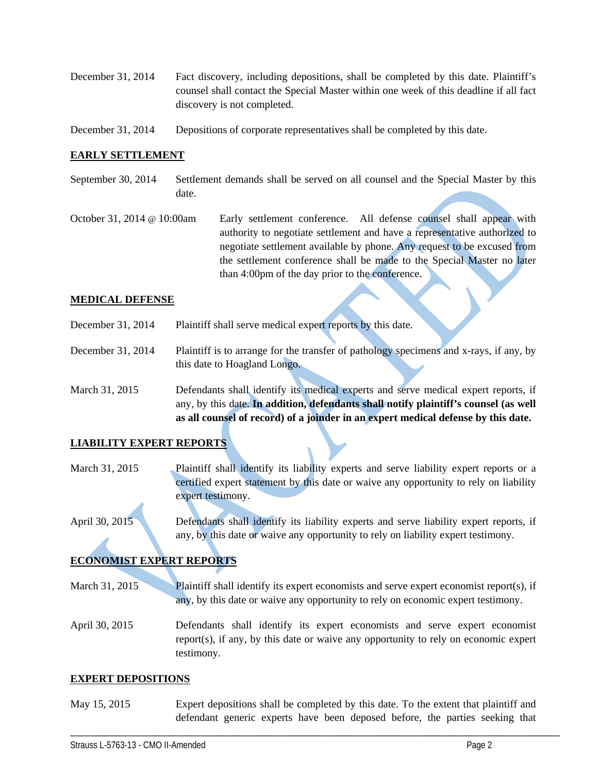- December 31, 2014 Fact discovery, including depositions, shall be completed by this date. Plaintiff's counsel shall contact the Special Master within one week of this deadline if all fact discovery is not completed.
- December 31, 2014 Depositions of corporate representatives shall be completed by this date.

## **EARLY SETTLEMENT**

- September 30, 2014 Settlement demands shall be served on all counsel and the Special Master by this date.
- October 31, 2014 @ 10:00am Early settlement conference. All defense counsel shall appear with authority to negotiate settlement and have a representative authorized to negotiate settlement available by phone. Any request to be excused from the settlement conference shall be made to the Special Master no later than 4:00pm of the day prior to the conference.

#### **MEDICAL DEFENSE**

- December 31, 2014 Plaintiff shall serve medical expert reports by this date.
- December 31, 2014 Plaintiff is to arrange for the transfer of pathology specimens and x-rays, if any, by this date to Hoagland Longo.
- March 31, 2015 Defendants shall identify its medical experts and serve medical expert reports, if any, by this date. **In addition, defendants shall notify plaintiff's counsel (as well as all counsel of record) of a joinder in an expert medical defense by this date.**

## **LIABILITY EXPERT REPORTS**

- March 31, 2015 Plaintiff shall identify its liability experts and serve liability expert reports or a certified expert statement by this date or waive any opportunity to rely on liability expert testimony.
- April 30, 2015 Defendants shall identify its liability experts and serve liability expert reports, if any, by this date or waive any opportunity to rely on liability expert testimony.

# **ECONOMIST EXPERT REPORTS**

- March 31, 2015 Plaintiff shall identify its expert economists and serve expert economist report(s), if any, by this date or waive any opportunity to rely on economic expert testimony.
- April 30, 2015 Defendants shall identify its expert economists and serve expert economist report(s), if any, by this date or waive any opportunity to rely on economic expert testimony.

#### **EXPERT DEPOSITIONS**

May 15, 2015 Expert depositions shall be completed by this date. To the extent that plaintiff and defendant generic experts have been deposed before, the parties seeking that

\_\_\_\_\_\_\_\_\_\_\_\_\_\_\_\_\_\_\_\_\_\_\_\_\_\_\_\_\_\_\_\_\_\_\_\_\_\_\_\_\_\_\_\_\_\_\_\_\_\_\_\_\_\_\_\_\_\_\_\_\_\_\_\_\_\_\_\_\_\_\_\_\_\_\_\_\_\_\_\_\_\_\_\_\_\_\_\_\_\_\_\_\_\_\_\_\_\_\_\_\_\_\_\_\_\_\_\_\_\_